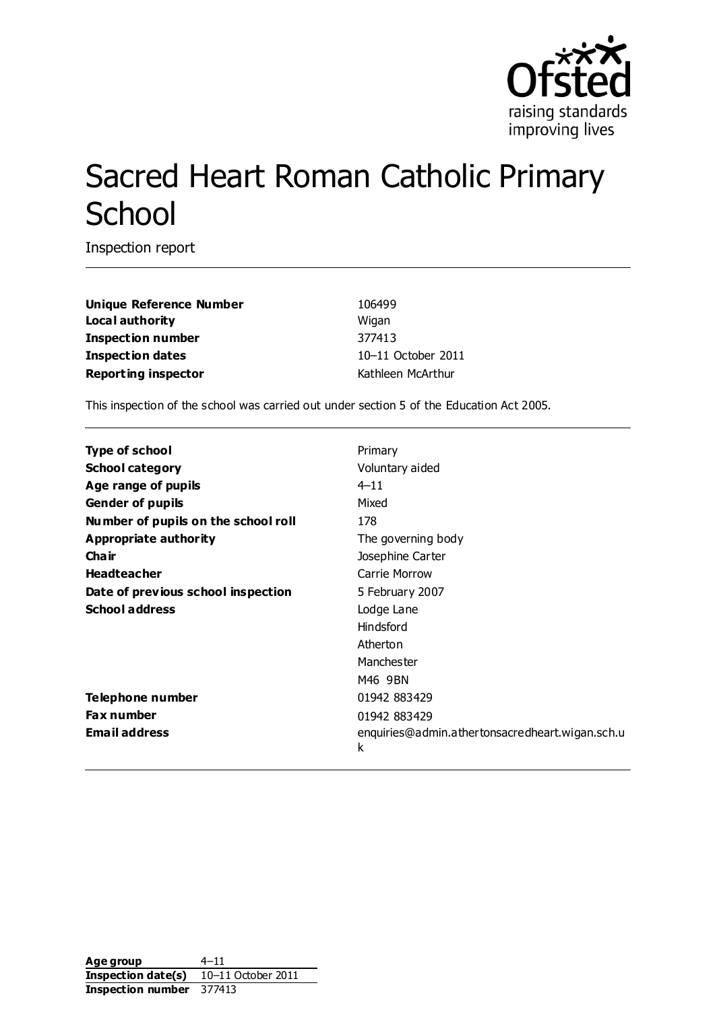

# Sacred Heart Roman Catholic Primary **School**

Inspection report

**Unique Reference Number** 106499 **Local authority** Wigan **Inspection number** 377413 **Inspection dates** 10–11 October 2011 **Reporting inspector Contracts Reporting inspector CONTEX ATTEN** 

This inspection of the school was carried out under section 5 of the Education Act 2005.

| <b>Type of school</b>               | Primary                                              |
|-------------------------------------|------------------------------------------------------|
| <b>School category</b>              | Voluntary aided                                      |
| Age range of pupils                 | $4 - 11$                                             |
| <b>Gender of pupils</b>             | Mixed                                                |
| Number of pupils on the school roll | 178                                                  |
| Appropriate authority               | The governing body                                   |
| Cha ir                              | Josephine Carter                                     |
| <b>Headteacher</b>                  | Carrie Morrow                                        |
| Date of previous school inspection  | 5 February 2007                                      |
| <b>School address</b>               | Lodge Lane                                           |
|                                     | Hindsford                                            |
|                                     | Atherton                                             |
|                                     | Manchester                                           |
|                                     | M46 9BN                                              |
| Telephone number                    | 01942 883429                                         |
| <b>Fax number</b>                   | 01942 883429                                         |
| <b>Email address</b>                | enquiries@admin.athertonsacredheart.wigan.sch.u<br>k |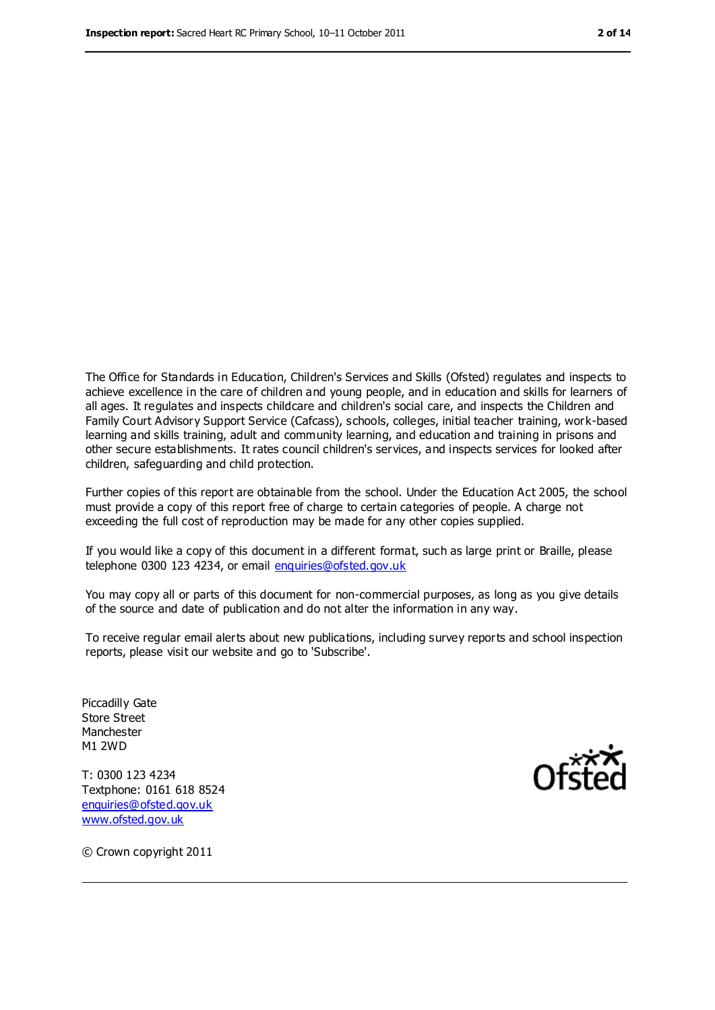The Office for Standards in Education, Children's Services and Skills (Ofsted) regulates and inspects to achieve excellence in the care of children and young people, and in education and skills for learners of all ages. It regulates and inspects childcare and children's social care, and inspects the Children and Family Court Advisory Support Service (Cafcass), schools, colleges, initial teacher training, work-based learning and skills training, adult and community learning, and education and training in prisons and other secure establishments. It rates council children's services, and inspects services for looked after children, safeguarding and child protection.

Further copies of this report are obtainable from the school. Under the Education Act 2005, the school must provide a copy of this report free of charge to certain categories of people. A charge not exceeding the full cost of reproduction may be made for any other copies supplied.

If you would like a copy of this document in a different format, such as large print or Braille, please telephone 0300 123 4234, or email [enquiries@ofsted.gov.uk](mailto:enquiries@ofsted.gov.uk)

You may copy all or parts of this document for non-commercial purposes, as long as you give details of the source and date of publication and do not alter the information in any way.

To receive regular email alerts about new publications, including survey reports and school inspection reports, please visit our website and go to 'Subscribe'.

Piccadilly Gate Store Street Manchester M1 2WD

T: 0300 123 4234 Textphone: 0161 618 8524 [enquiries@ofsted.gov.uk](mailto:enquiries@ofsted.gov.uk) [www.ofsted.gov.uk](http://www.ofsted.gov.uk/)



© Crown copyright 2011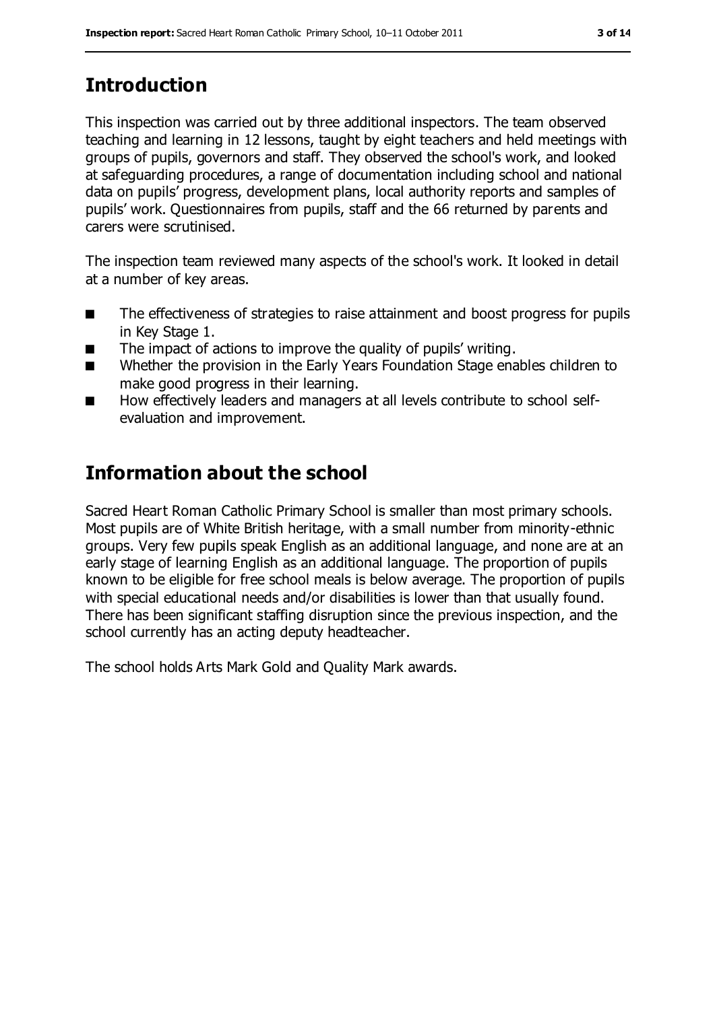# **Introduction**

This inspection was carried out by three additional inspectors. The team observed teaching and learning in 12 lessons, taught by eight teachers and held meetings with groups of pupils, governors and staff. They observed the school's work, and looked at safeguarding procedures, a range of documentation including school and national data on pupils' progress, development plans, local authority reports and samples of pupils' work. Questionnaires from pupils, staff and the 66 returned by parents and carers were scrutinised.

The inspection team reviewed many aspects of the school's work. It looked in detail at a number of key areas.

- The effectiveness of strategies to raise attainment and boost progress for pupils in Key Stage 1.
- The impact of actions to improve the quality of pupils' writing.
- Whether the provision in the Early Years Foundation Stage enables children to make good progress in their learning.
- How effectively leaders and managers at all levels contribute to school selfevaluation and improvement.

# **Information about the school**

Sacred Heart Roman Catholic Primary School is smaller than most primary schools. Most pupils are of White British heritage, with a small number from minority-ethnic groups. Very few pupils speak English as an additional language, and none are at an early stage of learning English as an additional language. The proportion of pupils known to be eligible for free school meals is below average. The proportion of pupils with special educational needs and/or disabilities is lower than that usually found. There has been significant staffing disruption since the previous inspection, and the school currently has an acting deputy headteacher.

The school holds Arts Mark Gold and Quality Mark awards.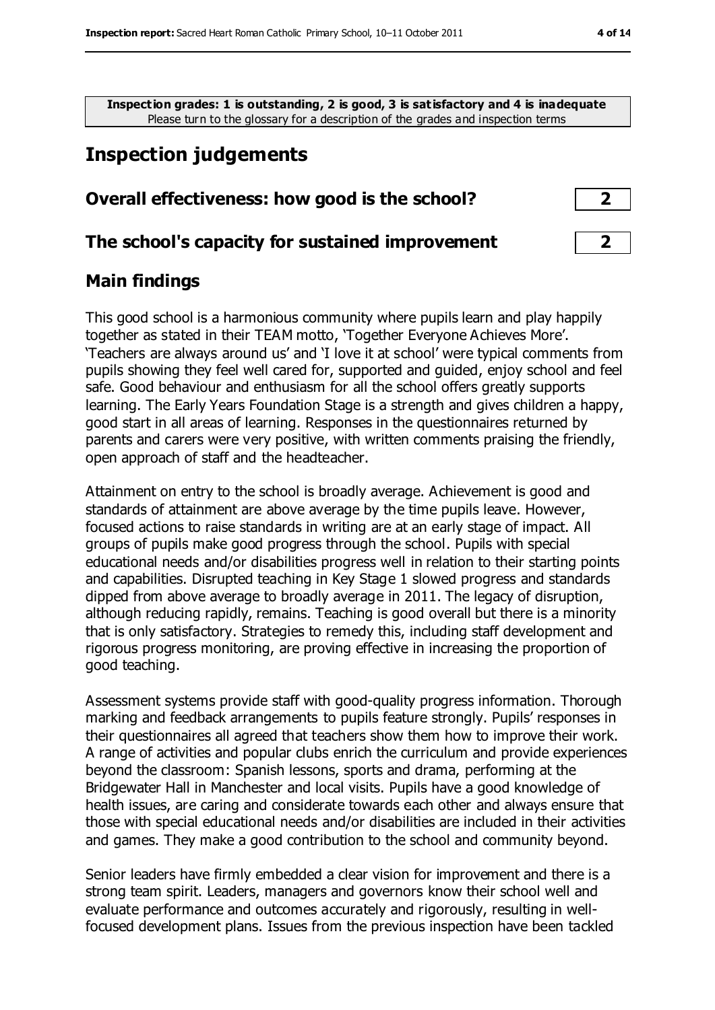**Inspection grades: 1 is outstanding, 2 is good, 3 is satisfactory and 4 is inadequate** Please turn to the glossary for a description of the grades and inspection terms

# **Inspection judgements**

#### **Overall effectiveness: how good is the school? 2**

#### **The school's capacity for sustained improvement 2**

#### **Main findings**

This good school is a harmonious community where pupils learn and play happily together as stated in their TEAM motto, 'Together Everyone Achieves More'. 'Teachers are always around us' and 'I love it at school' were typical comments from pupils showing they feel well cared for, supported and guided, enjoy school and feel safe. Good behaviour and enthusiasm for all the school offers greatly supports learning. The Early Years Foundation Stage is a strength and gives children a happy, good start in all areas of learning. Responses in the questionnaires returned by parents and carers were very positive, with written comments praising the friendly, open approach of staff and the headteacher.

Attainment on entry to the school is broadly average. Achievement is good and standards of attainment are above average by the time pupils leave. However, focused actions to raise standards in writing are at an early stage of impact. All groups of pupils make good progress through the school. Pupils with special educational needs and/or disabilities progress well in relation to their starting points and capabilities. Disrupted teaching in Key Stage 1 slowed progress and standards dipped from above average to broadly average in 2011. The legacy of disruption, although reducing rapidly, remains. Teaching is good overall but there is a minority that is only satisfactory. Strategies to remedy this, including staff development and rigorous progress monitoring, are proving effective in increasing the proportion of good teaching.

Assessment systems provide staff with good-quality progress information. Thorough marking and feedback arrangements to pupils feature strongly. Pupils' responses in their questionnaires all agreed that teachers show them how to improve their work. A range of activities and popular clubs enrich the curriculum and provide experiences beyond the classroom: Spanish lessons, sports and drama, performing at the Bridgewater Hall in Manchester and local visits. Pupils have a good knowledge of health issues, are caring and considerate towards each other and always ensure that those with special educational needs and/or disabilities are included in their activities and games. They make a good contribution to the school and community beyond.

Senior leaders have firmly embedded a clear vision for improvement and there is a strong team spirit. Leaders, managers and governors know their school well and evaluate performance and outcomes accurately and rigorously, resulting in wellfocused development plans. Issues from the previous inspection have been tackled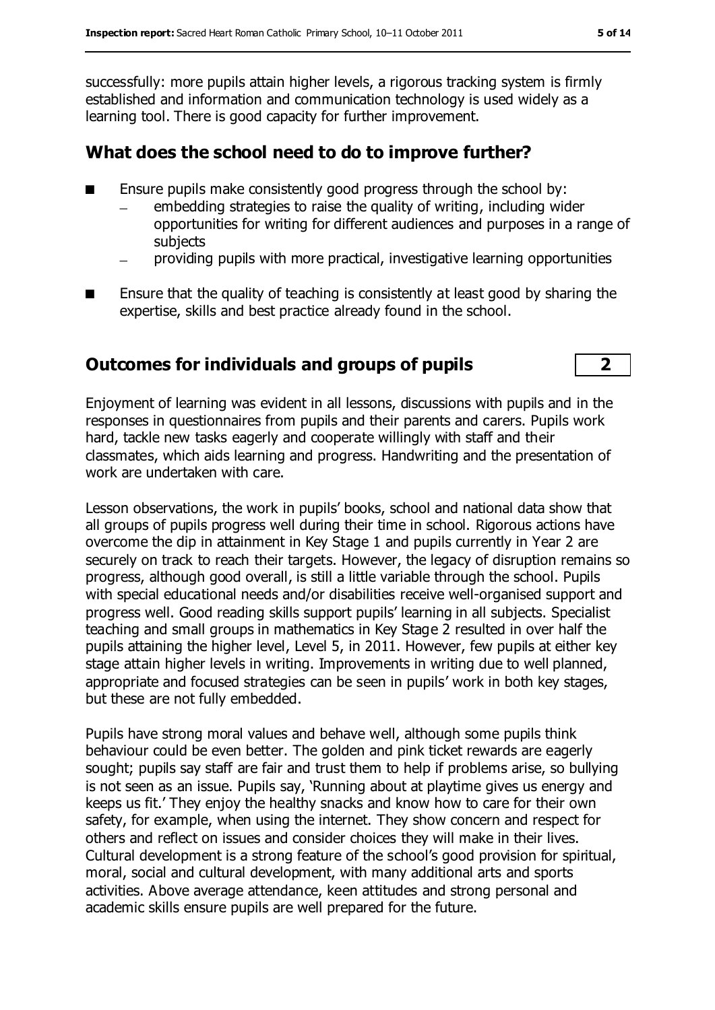successfully: more pupils attain higher levels, a rigorous tracking system is firmly established and information and communication technology is used widely as a learning tool. There is good capacity for further improvement.

#### **What does the school need to do to improve further?**

- Ensure pupils make consistently good progress through the school by:
	- embedding strategies to raise the quality of writing, including wider opportunities for writing for different audiences and purposes in a range of subjects
	- providing pupils with more practical, investigative learning opportunities
- Ensure that the quality of teaching is consistently at least good by sharing the expertise, skills and best practice already found in the school.

### **Outcomes for individuals and groups of pupils 2**

Enjoyment of learning was evident in all lessons, discussions with pupils and in the responses in questionnaires from pupils and their parents and carers. Pupils work hard, tackle new tasks eagerly and cooperate willingly with staff and their classmates, which aids learning and progress. Handwriting and the presentation of work are undertaken with care.

Lesson observations, the work in pupils' books, school and national data show that all groups of pupils progress well during their time in school. Rigorous actions have overcome the dip in attainment in Key Stage 1 and pupils currently in Year 2 are securely on track to reach their targets. However, the legacy of disruption remains so progress, although good overall, is still a little variable through the school. Pupils with special educational needs and/or disabilities receive well-organised support and progress well. Good reading skills support pupils' learning in all subjects. Specialist teaching and small groups in mathematics in Key Stage 2 resulted in over half the pupils attaining the higher level, Level 5, in 2011. However, few pupils at either key stage attain higher levels in writing. Improvements in writing due to well planned, appropriate and focused strategies can be seen in pupils' work in both key stages, but these are not fully embedded.

Pupils have strong moral values and behave well, although some pupils think behaviour could be even better. The golden and pink ticket rewards are eagerly sought; pupils say staff are fair and trust them to help if problems arise, so bullying is not seen as an issue. Pupils say, 'Running about at playtime gives us energy and keeps us fit.' They enjoy the healthy snacks and know how to care for their own safety, for example, when using the internet. They show concern and respect for others and reflect on issues and consider choices they will make in their lives. Cultural development is a strong feature of the school's good provision for spiritual, moral, social and cultural development, with many additional arts and sports activities. Above average attendance, keen attitudes and strong personal and academic skills ensure pupils are well prepared for the future.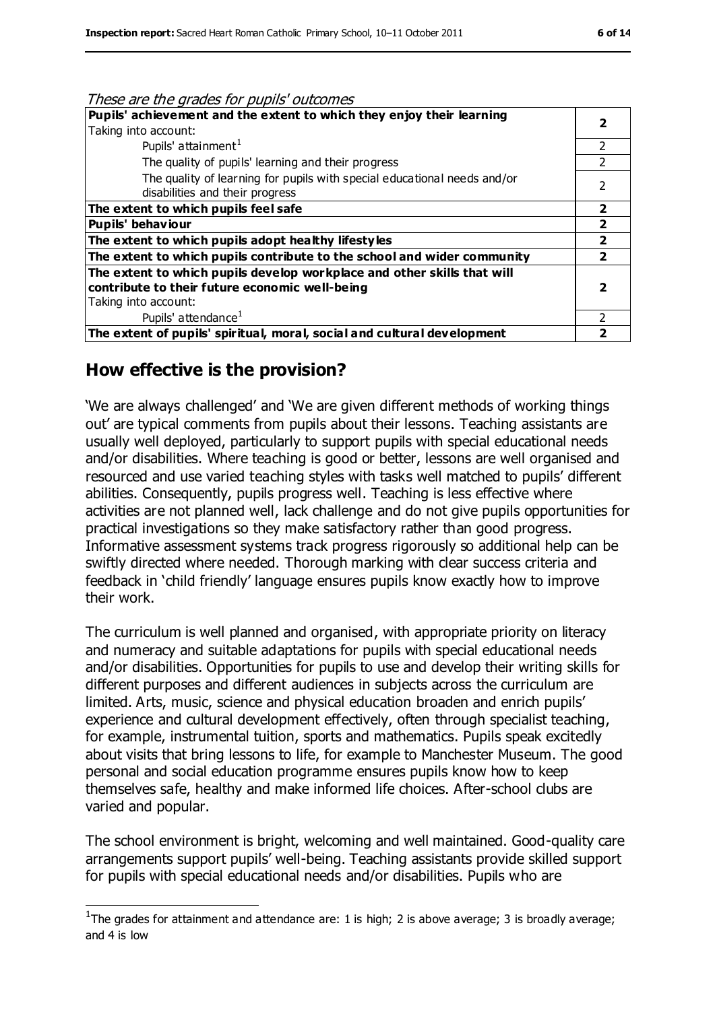| These are the grades for pupils' outcomes                                                                   |                          |
|-------------------------------------------------------------------------------------------------------------|--------------------------|
| Pupils' achievement and the extent to which they enjoy their learning                                       | 2                        |
| Taking into account:                                                                                        |                          |
| Pupils' attainment <sup>1</sup>                                                                             | 2                        |
| The quality of pupils' learning and their progress                                                          | $\mathcal{P}$            |
| The quality of learning for pupils with special educational needs and/or<br>disabilities and their progress | $\overline{\phantom{0}}$ |
| The extent to which pupils feel safe                                                                        | $\overline{2}$           |
| Pupils' behaviour                                                                                           | $\overline{2}$           |
| The extent to which pupils adopt healthy lifestyles                                                         | $\overline{2}$           |
| The extent to which pupils contribute to the school and wider community                                     | $\overline{2}$           |
| The extent to which pupils develop workplace and other skills that will                                     |                          |
| contribute to their future economic well-being                                                              | 2                        |
| Taking into account:                                                                                        |                          |
| Pupils' attendance <sup>1</sup>                                                                             | 2                        |
| The extent of pupils' spiritual, moral, social and cultural development                                     |                          |

#### **How effective is the provision?**

 $\overline{a}$ 

'We are always challenged' and 'We are given different methods of working things out' are typical comments from pupils about their lessons. Teaching assistants are usually well deployed, particularly to support pupils with special educational needs and/or disabilities. Where teaching is good or better, lessons are well organised and resourced and use varied teaching styles with tasks well matched to pupils' different abilities. Consequently, pupils progress well. Teaching is less effective where activities are not planned well, lack challenge and do not give pupils opportunities for practical investigations so they make satisfactory rather than good progress. Informative assessment systems track progress rigorously so additional help can be swiftly directed where needed. Thorough marking with clear success criteria and feedback in 'child friendly' language ensures pupils know exactly how to improve their work.

The curriculum is well planned and organised, with appropriate priority on literacy and numeracy and suitable adaptations for pupils with special educational needs and/or disabilities. Opportunities for pupils to use and develop their writing skills for different purposes and different audiences in subjects across the curriculum are limited. Arts, music, science and physical education broaden and enrich pupils' experience and cultural development effectively, often through specialist teaching, for example, instrumental tuition, sports and mathematics. Pupils speak excitedly about visits that bring lessons to life, for example to Manchester Museum. The good personal and social education programme ensures pupils know how to keep themselves safe, healthy and make informed life choices. After-school clubs are varied and popular.

The school environment is bright, welcoming and well maintained. Good-quality care arrangements support pupils' well-being. Teaching assistants provide skilled support for pupils with special educational needs and/or disabilities. Pupils who are

<sup>&</sup>lt;sup>1</sup>The grades for attainment and attendance are: 1 is high; 2 is above average; 3 is broadly average; and 4 is low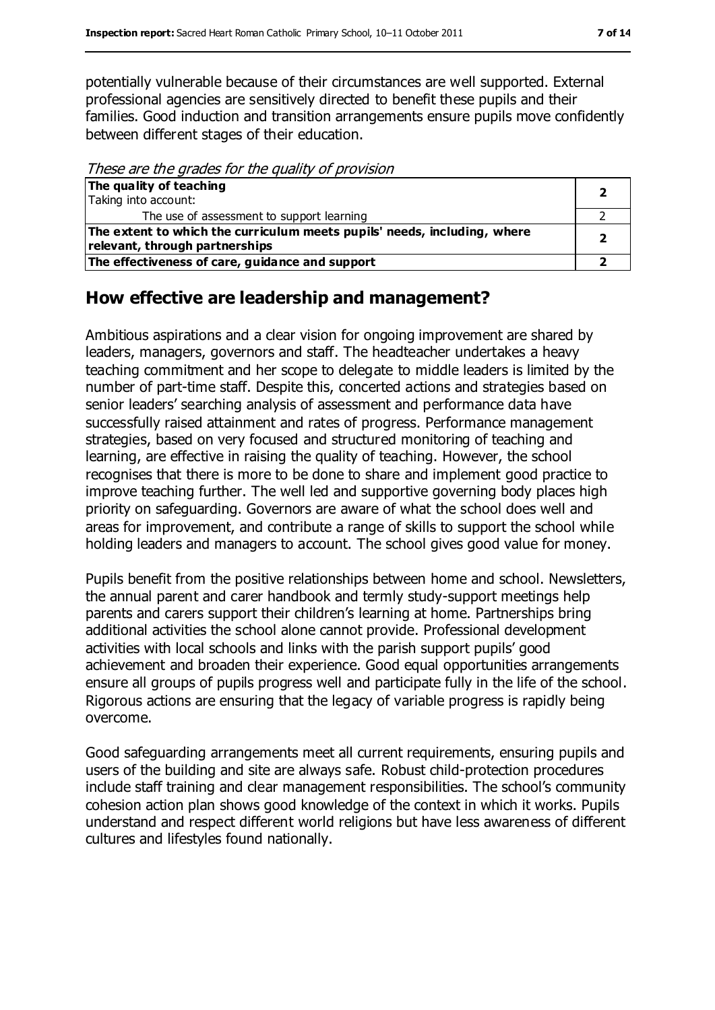potentially vulnerable because of their circumstances are well supported. External professional agencies are sensitively directed to benefit these pupils and their families. Good induction and transition arrangements ensure pupils move confidently between different stages of their education.

These are the grades for the quality of provision

| The quality of teaching                                                  |  |
|--------------------------------------------------------------------------|--|
| Taking into account:                                                     |  |
| The use of assessment to support learning                                |  |
| The extent to which the curriculum meets pupils' needs, including, where |  |
| relevant, through partnerships                                           |  |
| The effectiveness of care, guidance and support                          |  |

#### **How effective are leadership and management?**

Ambitious aspirations and a clear vision for ongoing improvement are shared by leaders, managers, governors and staff. The headteacher undertakes a heavy teaching commitment and her scope to delegate to middle leaders is limited by the number of part-time staff. Despite this, concerted actions and strategies based on senior leaders' searching analysis of assessment and performance data have successfully raised attainment and rates of progress. Performance management strategies, based on very focused and structured monitoring of teaching and learning, are effective in raising the quality of teaching. However, the school recognises that there is more to be done to share and implement good practice to improve teaching further. The well led and supportive governing body places high priority on safeguarding. Governors are aware of what the school does well and areas for improvement, and contribute a range of skills to support the school while holding leaders and managers to account. The school gives good value for money.

Pupils benefit from the positive relationships between home and school. Newsletters, the annual parent and carer handbook and termly study-support meetings help parents and carers support their children's learning at home. Partnerships bring additional activities the school alone cannot provide. Professional development activities with local schools and links with the parish support pupils' good achievement and broaden their experience. Good equal opportunities arrangements ensure all groups of pupils progress well and participate fully in the life of the school. Rigorous actions are ensuring that the legacy of variable progress is rapidly being overcome.

Good safeguarding arrangements meet all current requirements, ensuring pupils and users of the building and site are always safe. Robust child-protection procedures include staff training and clear management responsibilities. The school's community cohesion action plan shows good knowledge of the context in which it works. Pupils understand and respect different world religions but have less awareness of different cultures and lifestyles found nationally.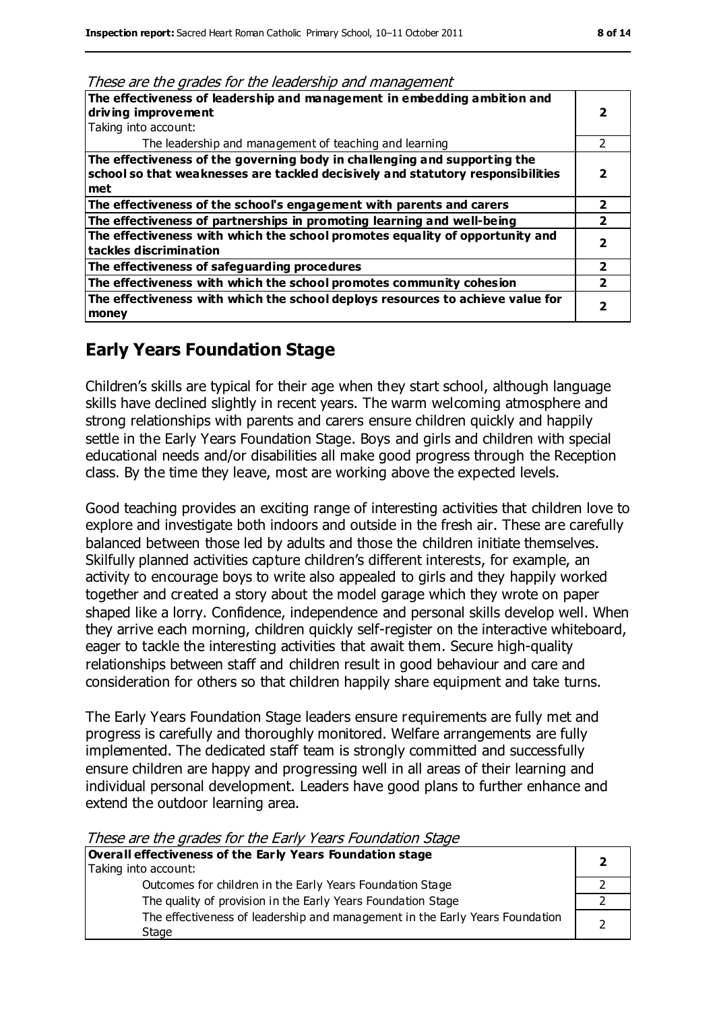| rnese are are grades for are readership and management<br>The effectiveness of leadership and management in embedding ambition and |   |
|------------------------------------------------------------------------------------------------------------------------------------|---|
| driving improvement                                                                                                                |   |
| Taking into account:                                                                                                               |   |
| The leadership and management of teaching and learning                                                                             |   |
| The effectiveness of the governing body in challenging and supporting the                                                          |   |
| school so that weaknesses are tackled decisively and statutory responsibilities                                                    |   |
| met                                                                                                                                |   |
| The effectiveness of the school's engagement with parents and carers                                                               | 2 |
| The effectiveness of partnerships in promoting learning and well-being                                                             |   |
| The effectiveness with which the school promotes equality of opportunity and<br>tackles discrimination                             |   |
| The effectiveness of safeguarding procedures                                                                                       | 2 |
| The effectiveness with which the school promotes community cohesion                                                                |   |
| The effectiveness with which the school deploys resources to achieve value for                                                     |   |
| money                                                                                                                              |   |

#### These are the grades for the leadership and management

#### **Early Years Foundation Stage**

Children's skills are typical for their age when they start school, although language skills have declined slightly in recent years. The warm welcoming atmosphere and strong relationships with parents and carers ensure children quickly and happily settle in the Early Years Foundation Stage. Boys and girls and children with special educational needs and/or disabilities all make good progress through the Reception class. By the time they leave, most are working above the expected levels.

Good teaching provides an exciting range of interesting activities that children love to explore and investigate both indoors and outside in the fresh air. These are carefully balanced between those led by adults and those the children initiate themselves. Skilfully planned activities capture children's different interests, for example, an activity to encourage boys to write also appealed to girls and they happily worked together and created a story about the model garage which they wrote on paper shaped like a lorry. Confidence, independence and personal skills develop well. When they arrive each morning, children quickly self-register on the interactive whiteboard, eager to tackle the interesting activities that await them. Secure high-quality relationships between staff and children result in good behaviour and care and consideration for others so that children happily share equipment and take turns.

The Early Years Foundation Stage leaders ensure requirements are fully met and progress is carefully and thoroughly monitored. Welfare arrangements are fully implemented. The dedicated staff team is strongly committed and successfully ensure children are happy and progressing well in all areas of their learning and individual personal development. Leaders have good plans to further enhance and extend the outdoor learning area.

| THESE are the grades for the Early Tears Foundation Stage                    |  |
|------------------------------------------------------------------------------|--|
| Overall effectiveness of the Early Years Foundation stage                    |  |
| Taking into account:                                                         |  |
| Outcomes for children in the Early Years Foundation Stage                    |  |
| The quality of provision in the Early Years Foundation Stage                 |  |
| The effectiveness of leadership and management in the Early Years Foundation |  |
| Stage                                                                        |  |

#### These are the grades for the Early Years Foundation Stage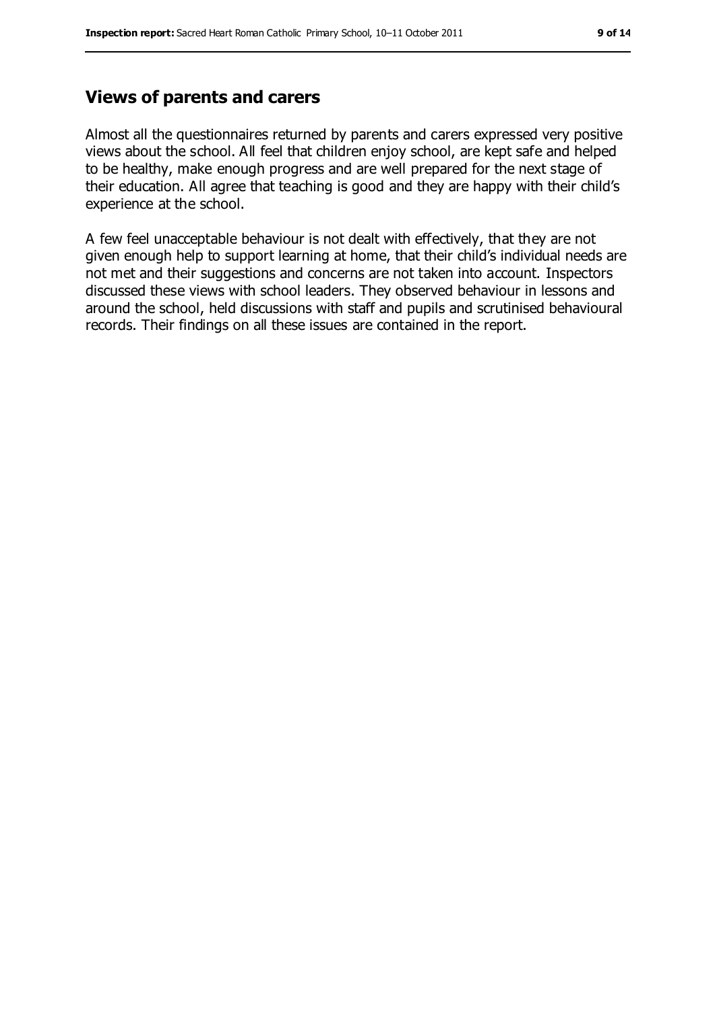#### **Views of parents and carers**

Almost all the questionnaires returned by parents and carers expressed very positive views about the school. All feel that children enjoy school, are kept safe and helped to be healthy, make enough progress and are well prepared for the next stage of their education. All agree that teaching is good and they are happy with their child's experience at the school.

A few feel unacceptable behaviour is not dealt with effectively, that they are not given enough help to support learning at home, that their child's individual needs are not met and their suggestions and concerns are not taken into account. Inspectors discussed these views with school leaders. They observed behaviour in lessons and around the school, held discussions with staff and pupils and scrutinised behavioural records. Their findings on all these issues are contained in the report.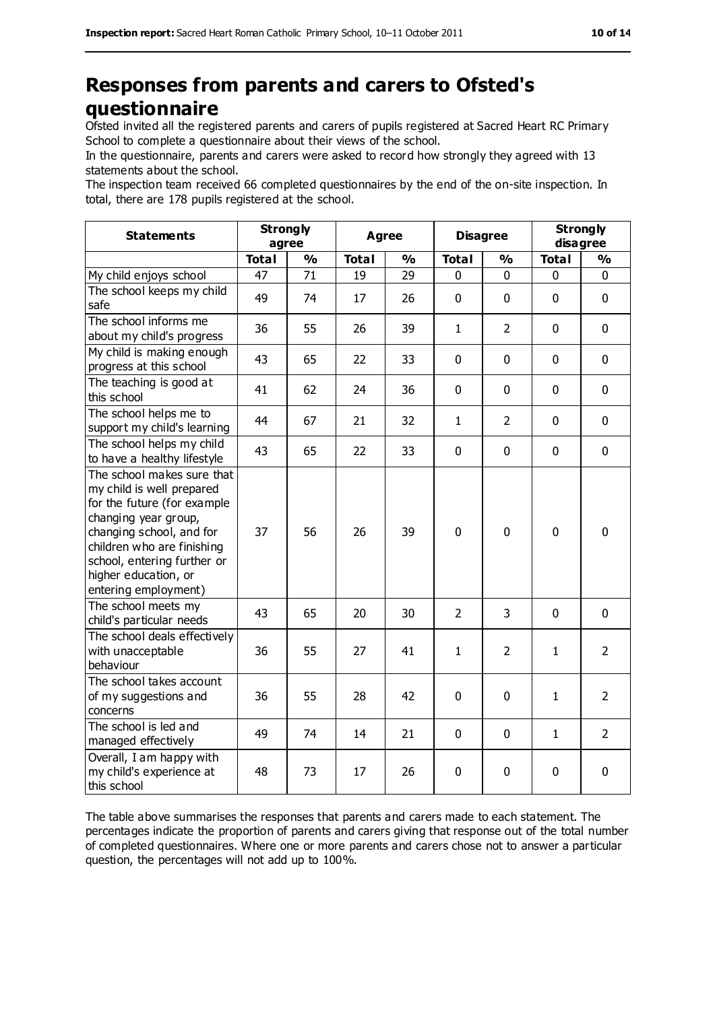## **Responses from parents and carers to Ofsted's questionnaire**

Ofsted invited all the registered parents and carers of pupils registered at Sacred Heart RC Primary School to complete a questionnaire about their views of the school.

In the questionnaire, parents and carers were asked to record how strongly they agreed with 13 statements about the school.

The inspection team received 66 completed questionnaires by the end of the on-site inspection. In total, there are 178 pupils registered at the school.

| <b>Statements</b>                                                                                                                                                                                                                                       | <b>Strongly</b><br>agree |               | <b>Agree</b> |               | <b>Disagree</b> |                | <b>Strongly</b><br>disagree |                |
|---------------------------------------------------------------------------------------------------------------------------------------------------------------------------------------------------------------------------------------------------------|--------------------------|---------------|--------------|---------------|-----------------|----------------|-----------------------------|----------------|
|                                                                                                                                                                                                                                                         | <b>Total</b>             | $\frac{9}{6}$ | <b>Total</b> | $\frac{1}{2}$ | <b>Total</b>    | $\frac{0}{0}$  | <b>Total</b>                | $\frac{9}{6}$  |
| My child enjoys school                                                                                                                                                                                                                                  | 47                       | 71            | 19           | 29            | 0               | $\mathbf 0$    | 0                           | 0              |
| The school keeps my child<br>safe                                                                                                                                                                                                                       | 49                       | 74            | 17           | 26            | 0               | $\mathbf 0$    | $\mathbf 0$                 | $\mathbf 0$    |
| The school informs me<br>about my child's progress                                                                                                                                                                                                      | 36                       | 55            | 26           | 39            | 1               | $\overline{2}$ | $\mathbf 0$                 | $\mathbf 0$    |
| My child is making enough<br>progress at this school                                                                                                                                                                                                    | 43                       | 65            | 22           | 33            | 0               | $\mathbf 0$    | $\mathbf 0$                 | $\mathbf 0$    |
| The teaching is good at<br>this school                                                                                                                                                                                                                  | 41                       | 62            | 24           | 36            | 0               | $\mathbf 0$    | $\mathbf 0$                 | $\mathbf 0$    |
| The school helps me to<br>support my child's learning                                                                                                                                                                                                   | 44                       | 67            | 21           | 32            | $\mathbf{1}$    | $\overline{2}$ | $\mathbf 0$                 | $\mathbf 0$    |
| The school helps my child<br>to have a healthy lifestyle                                                                                                                                                                                                | 43                       | 65            | 22           | 33            | 0               | $\mathbf 0$    | $\mathbf 0$                 | $\mathbf 0$    |
| The school makes sure that<br>my child is well prepared<br>for the future (for example<br>changing year group,<br>changing school, and for<br>children who are finishing<br>school, entering further or<br>higher education, or<br>entering employment) | 37                       | 56            | 26           | 39            | $\overline{0}$  | $\mathbf 0$    | $\mathbf 0$                 | $\mathbf 0$    |
| The school meets my<br>child's particular needs                                                                                                                                                                                                         | 43                       | 65            | 20           | 30            | $\overline{2}$  | 3              | $\mathbf 0$                 | $\mathbf 0$    |
| The school deals effectively<br>with unacceptable<br>behaviour                                                                                                                                                                                          | 36                       | 55            | 27           | 41            | $\mathbf{1}$    | $\overline{2}$ | $\mathbf{1}$                | $\overline{2}$ |
| The school takes account<br>of my suggestions and<br>concerns                                                                                                                                                                                           | 36                       | 55            | 28           | 42            | 0               | 0              | $\mathbf{1}$                | $\overline{2}$ |
| The school is led and<br>managed effectively                                                                                                                                                                                                            | 49                       | 74            | 14           | 21            | 0               | $\mathbf 0$    | $\mathbf{1}$                | $\overline{2}$ |
| Overall, I am happy with<br>my child's experience at<br>this school                                                                                                                                                                                     | 48                       | 73            | 17           | 26            | 0               | $\mathbf 0$    | $\pmb{0}$                   | 0              |

The table above summarises the responses that parents and carers made to each statement. The percentages indicate the proportion of parents and carers giving that response out of the total number of completed questionnaires. Where one or more parents and carers chose not to answer a particular question, the percentages will not add up to 100%.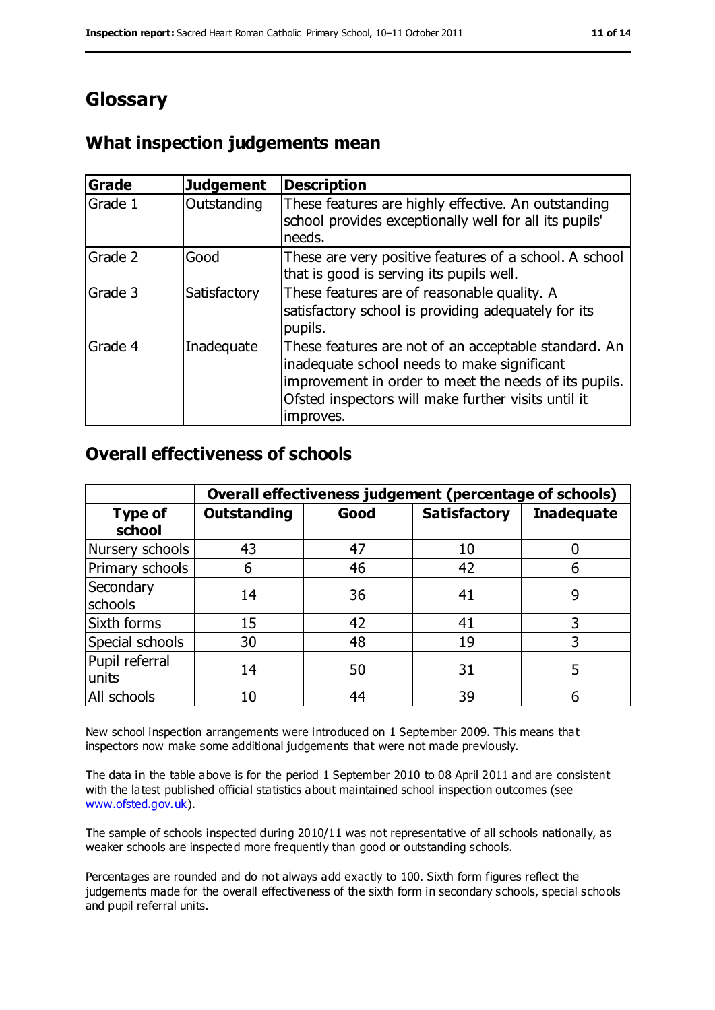# **Glossary**

## **What inspection judgements mean**

| <b>Grade</b> | <b>Judgement</b> | <b>Description</b>                                                                                                                                                                                                               |
|--------------|------------------|----------------------------------------------------------------------------------------------------------------------------------------------------------------------------------------------------------------------------------|
| Grade 1      | Outstanding      | These features are highly effective. An outstanding<br>school provides exceptionally well for all its pupils'<br>needs.                                                                                                          |
| Grade 2      | Good             | These are very positive features of a school. A school<br>that is good is serving its pupils well.                                                                                                                               |
| Grade 3      | Satisfactory     | These features are of reasonable quality. A<br>satisfactory school is providing adequately for its<br>pupils.                                                                                                                    |
| Grade 4      | Inadequate       | These features are not of an acceptable standard. An<br>inadequate school needs to make significant<br>improvement in order to meet the needs of its pupils.<br>Ofsted inspectors will make further visits until it<br>improves. |

#### **Overall effectiveness of schools**

|                          | Overall effectiveness judgement (percentage of schools) |      |                     |                   |
|--------------------------|---------------------------------------------------------|------|---------------------|-------------------|
| <b>Type of</b><br>school | <b>Outstanding</b>                                      | Good | <b>Satisfactory</b> | <b>Inadequate</b> |
| Nursery schools          | 43                                                      | 47   | 10                  |                   |
| Primary schools          | 6                                                       | 46   | 42                  |                   |
| Secondary<br>schools     | 14                                                      | 36   | 41                  | 9                 |
| Sixth forms              | 15                                                      | 42   | 41                  | 3                 |
| Special schools          | 30                                                      | 48   | 19                  | 3                 |
| Pupil referral<br>units  | 14                                                      | 50   | 31                  | 5                 |
| All schools              | 10                                                      | 44   | 39                  |                   |

New school inspection arrangements were introduced on 1 September 2009. This means that inspectors now make some additional judgements that were not made previously.

The data in the table above is for the period 1 September 2010 to 08 April 2011 and are consistent with the latest published official statistics about maintained school inspection outcomes (see [www.ofsted.gov.uk\)](http://www.ofsted.gov.uk/).

The sample of schools inspected during 2010/11 was not representative of all schools nationally, as weaker schools are inspected more frequently than good or outstanding schools.

Percentages are rounded and do not always add exactly to 100. Sixth form figures reflect the judgements made for the overall effectiveness of the sixth form in secondary schools, special schools and pupil referral units.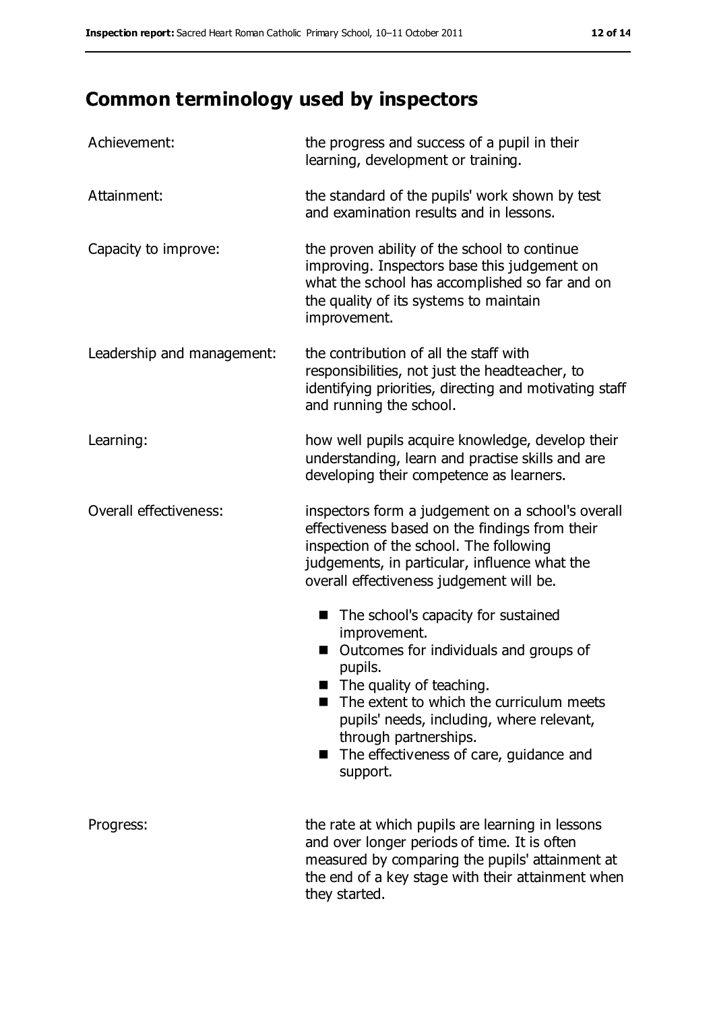# **Common terminology used by inspectors**

| Achievement:               | the progress and success of a pupil in their<br>learning, development or training.                                                                                                                                                                                                                                                     |
|----------------------------|----------------------------------------------------------------------------------------------------------------------------------------------------------------------------------------------------------------------------------------------------------------------------------------------------------------------------------------|
| Attainment:                | the standard of the pupils' work shown by test<br>and examination results and in lessons.                                                                                                                                                                                                                                              |
| Capacity to improve:       | the proven ability of the school to continue<br>improving. Inspectors base this judgement on<br>what the school has accomplished so far and on<br>the quality of its systems to maintain<br>improvement.                                                                                                                               |
| Leadership and management: | the contribution of all the staff with<br>responsibilities, not just the headteacher, to<br>identifying priorities, directing and motivating staff<br>and running the school.                                                                                                                                                          |
| Learning:                  | how well pupils acquire knowledge, develop their<br>understanding, learn and practise skills and are<br>developing their competence as learners.                                                                                                                                                                                       |
| Overall effectiveness:     | inspectors form a judgement on a school's overall<br>effectiveness based on the findings from their<br>inspection of the school. The following<br>judgements, in particular, influence what the<br>overall effectiveness judgement will be.                                                                                            |
|                            | The school's capacity for sustained<br>■<br>improvement.<br>Outcomes for individuals and groups of<br>pupils.<br>$\blacksquare$ The quality of teaching.<br>The extent to which the curriculum meets<br>pupils' needs, including, where relevant,<br>through partnerships.<br>The effectiveness of care, guidance and<br>■<br>support. |
| Progress:                  | the rate at which pupils are learning in lessons<br>and over longer periods of time. It is often<br>measured by comparing the pupils' attainment at<br>the end of a key stage with their attainment when<br>they started.                                                                                                              |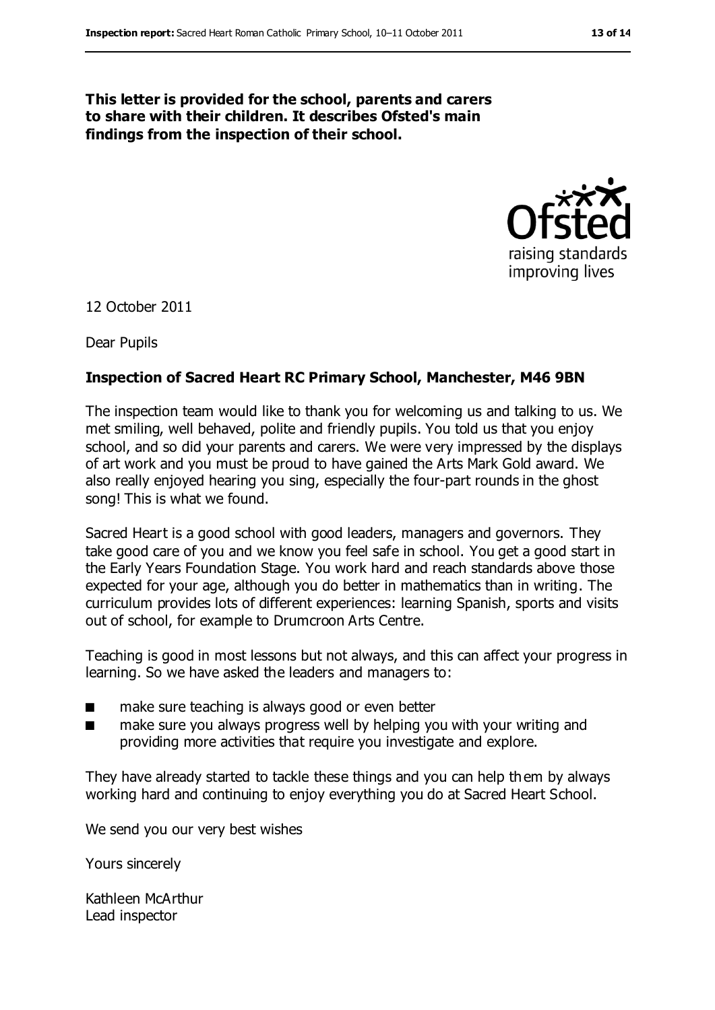#### **This letter is provided for the school, parents and carers to share with their children. It describes Ofsted's main findings from the inspection of their school.**



12 October 2011

Dear Pupils

#### **Inspection of Sacred Heart RC Primary School, Manchester, M46 9BN**

The inspection team would like to thank you for welcoming us and talking to us. We met smiling, well behaved, polite and friendly pupils. You told us that you enjoy school, and so did your parents and carers. We were very impressed by the displays of art work and you must be proud to have gained the Arts Mark Gold award. We also really enjoyed hearing you sing, especially the four-part rounds in the ghost song! This is what we found.

Sacred Heart is a good school with good leaders, managers and governors. They take good care of you and we know you feel safe in school. You get a good start in the Early Years Foundation Stage. You work hard and reach standards above those expected for your age, although you do better in mathematics than in writing. The curriculum provides lots of different experiences: learning Spanish, sports and visits out of school, for example to Drumcroon Arts Centre.

Teaching is good in most lessons but not always, and this can affect your progress in learning. So we have asked the leaders and managers to:

- make sure teaching is always good or even better
- make sure you always progress well by helping you with your writing and providing more activities that require you investigate and explore.

They have already started to tackle these things and you can help them by always working hard and continuing to enjoy everything you do at Sacred Heart School.

We send you our very best wishes

Yours sincerely

Kathleen McArthur Lead inspector